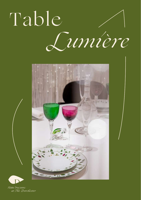# Table *Lumière*





Alain Ducasse at The Dorchester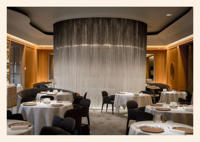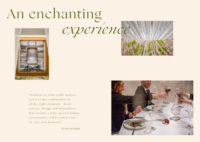## An enchanting

*experience*



"Harmony is what really matters and it is the combination of all the right elements - food, s ervice, design and atmosphere that creates a truly special dining environment. Table Lumière has its very own harmony."

A LAIN DUCASSE

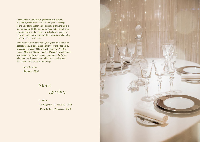Cocooned by a luminescent graduated oval curtain, inspired by traditional couture techniques, in homage to the world leading fashion houses of Mayfair, the table is surrounded by 4,500 shimmering fiber-optics which drop dramatically from the ceiling, cleverly allowing guests to enjoy the ambiance and buzz of the restaurant whilst being nearly screened from view.

Table Lumière enables you and your guests to create your bespoke dining experience and tailor your table setting by choosing your desired Hermès Collection from 'Rhythm Rouge', 'Mesclun', 'Century' and 'Fil d'Argent'. The collections also include the finest creations in tableware: Puiforcat silverware, table ornaments and Saint-Louis glassware. The epitome of French craftsmanship.

> *Up to 7 guests Room hire £300*



**DINNER**

- Tasting menu – *(7 courses) - £210*

- Menu Jardin – *(7 courses) - £165*

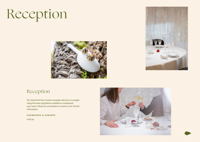## Reception





### Reception

Our Head Chef has created a bespoke selection of canapés using the finest ingredients available to compliment your menu. Please do not hesitate to contact us for further information.

**CHAMPAGNE & CANAPÉS** 

*£40 pp* 

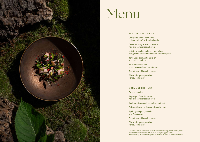

## Menu

### **TASTING MENU** – *£210*

Courgette, toasted almonds, delicate velouté with Kristal caviar

Green asparagus from Provence nori and watercress sabayon

Lobster medallion, chicken quenelles, Périgord truffle and homemade semolina pasta

John Dory, spiny artichoke, shiso and pickled walnut

Farmhouse veal fillet green peas and mint condiment

Assortment of French cheeses

Pineapple, galanga sorbet, kombu condiment

### $MENU JARDIN - E165$

Amuse-bouche

Asparagus from Provence nori and watercress sabayon

Cookpot of seasonal vegetables and fruit

Spiny artichoke, shiso and pickled walnut

Spelt, green peas, morels and Arbois wine

Assortment of French cheeses

Pineapple, galanga sorbet, kombu condiment

Our menu contains allergens. If you suffer from a food allergy or intolerance, please let a member of the restaurant team know upon placing your order. A discretionary 15% service charge will be added to your bill. All prices include VAT.